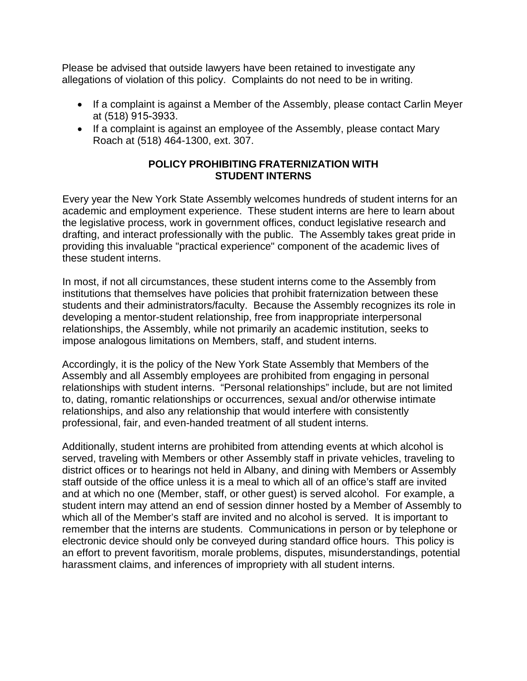Please be advised that outside lawyers have been retained to investigate any allegations of violation of this policy. Complaints do not need to be in writing.

- If a complaint is against a Member of the Assembly, please contact Carlin Meyer at (518) 915-3933.
- If a complaint is against an employee of the Assembly, please contact Mary Roach at (518) 464-1300, ext. 307.

## **POLICY PROHIBITING FRATERNIZATION WITH STUDENT INTERNS**

Every year the New York State Assembly welcomes hundreds of student interns for an academic and employment experience. These student interns are here to learn about the legislative process, work in government offices, conduct legislative research and drafting, and interact professionally with the public. The Assembly takes great pride in providing this invaluable "practical experience" component of the academic lives of these student interns.

In most, if not all circumstances, these student interns come to the Assembly from institutions that themselves have policies that prohibit fraternization between these students and their administrators/faculty. Because the Assembly recognizes its role in developing a mentor-student relationship, free from inappropriate interpersonal relationships, the Assembly, while not primarily an academic institution, seeks to impose analogous limitations on Members, staff, and student interns.

Accordingly, it is the policy of the New York State Assembly that Members of the Assembly and all Assembly employees are prohibited from engaging in personal relationships with student interns. "Personal relationships" include, but are not limited to, dating, romantic relationships or occurrences, sexual and/or otherwise intimate relationships, and also any relationship that would interfere with consistently professional, fair, and even-handed treatment of all student interns.

Additionally, student interns are prohibited from attending events at which alcohol is served, traveling with Members or other Assembly staff in private vehicles, traveling to district offices or to hearings not held in Albany, and dining with Members or Assembly staff outside of the office unless it is a meal to which all of an office's staff are invited and at which no one (Member, staff, or other guest) is served alcohol. For example, a student intern may attend an end of session dinner hosted by a Member of Assembly to which all of the Member's staff are invited and no alcohol is served. It is important to remember that the interns are students. Communications in person or by telephone or electronic device should only be conveyed during standard office hours. This policy is an effort to prevent favoritism, morale problems, disputes, misunderstandings, potential harassment claims, and inferences of impropriety with all student interns.